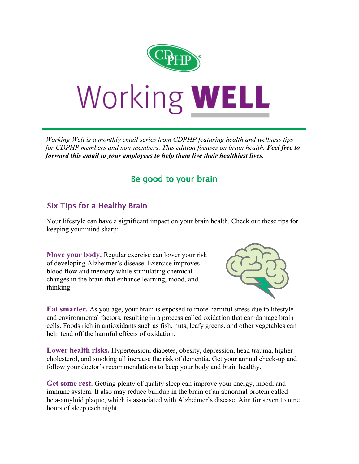

*Working Well is a monthly email series from CDPHP featuring health and wellness tips for CDPHP members and non-members. This edition focuses on brain health. Feel free to forward this email to your employees to help them live their healthiest lives.*

## Be good to your brain

## Six Tips for a Healthy Brain

Your lifestyle can have a significant impact on your brain health. Check out these tips for keeping your mind sharp:

**Move your body.** Regular exercise can lower your risk of developing Alzheimer's disease. Exercise improves blood flow and memory while stimulating chemical changes in the brain that enhance learning, mood, and thinking.



**Eat smarter.** As you age, your brain is exposed to more harmful stress due to lifestyle and environmental factors, resulting in a process called oxidation that can damage brain cells. Foods rich in antioxidants such as fish, nuts, leafy greens, and other vegetables can help fend off the harmful effects of oxidation.

**Lower health risks.** Hypertension, diabetes, obesity, depression, head trauma, higher cholesterol, and smoking all increase the risk of dementia. Get your annual check-up and follow your doctor's recommendations to keep your body and brain healthy.

**Get some rest.** Getting plenty of quality sleep can improve your energy, mood, and immune system. It also may reduce buildup in the brain of an abnormal protein called beta-amyloid plaque, which is associated with Alzheimer's disease. Aim for seven to nine hours of sleep each night.